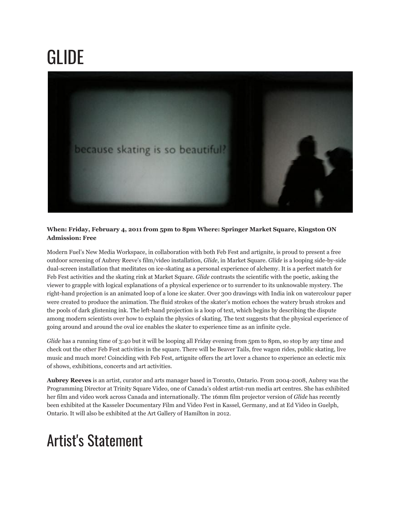## GLIDE



## **When: Friday, February 4, 2011 from 5pm to 8pm Where: Springer Market Square, Kingston ON Admission: Free**

Modern Fuel's New Media Workspace, in collaboration with both Feb Fest and artignite, is proud to present a free outdoor screening of Aubrey Reeve's film/video installation, *Glide*, in Market Square. *Glide* is a looping side-by-side dual-screen installation that meditates on ice-skating as a personal experience of alchemy. It is a perfect match for Feb Fest activities and the skating rink at Market Square. *Glide* contrasts the scientific with the poetic, asking the viewer to grapple with logical explanations of a physical experience or to surrender to its unknowable mystery. The right-hand projection is an animated loop of a lone ice skater. Over 300 drawings with India ink on watercolour paper were created to produce the animation. The fluid strokes of the skater's motion echoes the watery brush strokes and the pools of dark glistening ink. The left-hand projection is a loop of text, which begins by describing the dispute among modern scientists over how to explain the physics of skating. The text suggests that the physical experience of going around and around the oval ice enables the skater to experience time as an infinite cycle.

*Glide* has a running time of 3:40 but it will be looping all Friday evening from 5pm to 8pm, so stop by any time and check out the other Feb Fest activities in the square. There will be Beaver Tails, free wagon rides, public skating, live music and much more! Coinciding with Feb Fest, artignite offers the art lover a chance to experience an eclectic mix of shows, exhibitions, concerts and art activities.

**Aubrey Reeves** is an artist, curator and arts manager based in Toronto, Ontario. From 2004-2008, Aubrey was the Programming Director at Trinity Square Video, one of Canada's oldest artist-run media art centres. She has exhibited her film and video work across Canada and internationally. The 16mm film projector version of *Glide* has recently been exhibited at the Kasseler Documentary Film and Video Fest in Kassel, Germany, and at Ed Video in Guelph, Ontario. It will also be exhibited at the Art Gallery of Hamilton in 2012.

## Artist's Statement